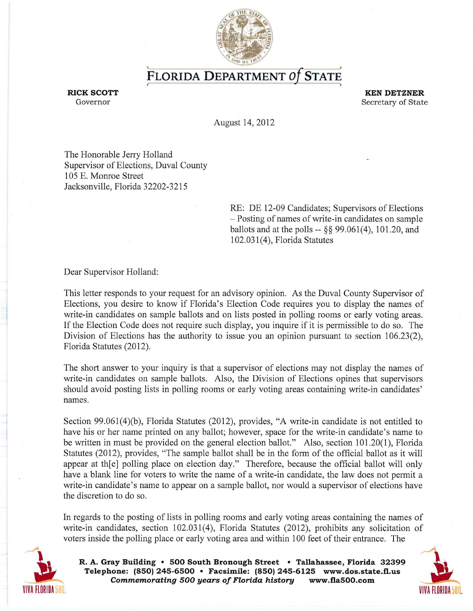

**FLORIDA DEPARTMENT Of STATE** 

**RICK SCOTT KEN DETZNER**  Governor Secretary of State Secretary of State Secretary of State Secretary of State Secretary of State Secretary of State Secretary of State Secretary of State Secretary of State Secretary of State Secretary of State Secr

August 14,2012

The Honorable Jerry Holland Supervisor of Elections, Duval County 105 E. Momoe Street Jacksonville, Florida 32202-3215

> RE: DE 12-09 Candidates; Supervisors of Elections - Posting of names of write-in candidates on sample ballots and at the polls -- §§ 99.061(4), 101.20, and 102.031 (4), Florida Statutes

Dear Supervisor Holland:

This letter responds to your request for an advisory opinion. As the Duval County Supervisor of Elections, you desire to know if Florida's Election Code requires you to display the names of write-in candidates on sample ballots and on lists posted in polling rooms or early voting areas. If the Election Code does not require such display, you inquire if it is permissible to do so. The Division of Elections has the authority to issue you an opinion pursuant to section 106.23(2), Florida Statutes (2012).

The short answer to your inquiry is that a supervisor of elections may not display the names of write-in candidates on sample ballots. Also, the Division of Elections opines that supervisors should avoid posting lists in polling rooms or early voting areas containing write-in candidates' names.

Section 99.061(4)(b), Florida Statutes (2012), provides, "A write-in candidate is not entitled to have his or her name printed on any ballot; however, space for the write-in candidate's name to be written in must be provided on the general election ballot." Also, section 101.20(1), Florida Statutes (2012), provides, "The sample ballot shall be in the form of the official ballot as it will appear at th[e] polling place on election day." Therefore, because the official ballot will only have a blank line for voters to write the name of a write-in candidate, the law does not permit a write-in candidate's name to appear on a sample ballot, nor would a supervisor of elections have the discretion to do so.

In regards to the posting of lists in polling rooms and early voting areas containing the names of write-in candidates, section 102.031(4), Florida Statutes (2012), prohibits any solicitation of voters inside the polling place or early voting area and within 100 feet of their entrance. The



**R. A. Gray Building • 500 South Bronough Street • Tallahassee, Florida 32399 R. A. Gray Building • 500 South Bronough Street • Tallahassee, Florida 32399<br>Telephone: (850) 245-6500 • Facsimile: (850) 245-6125 www.dos.state.fl.us<br>Commemorating 500 years of Florida history www.fla500.com** Commemorating 500 years of Florida history **www.fla500.com**